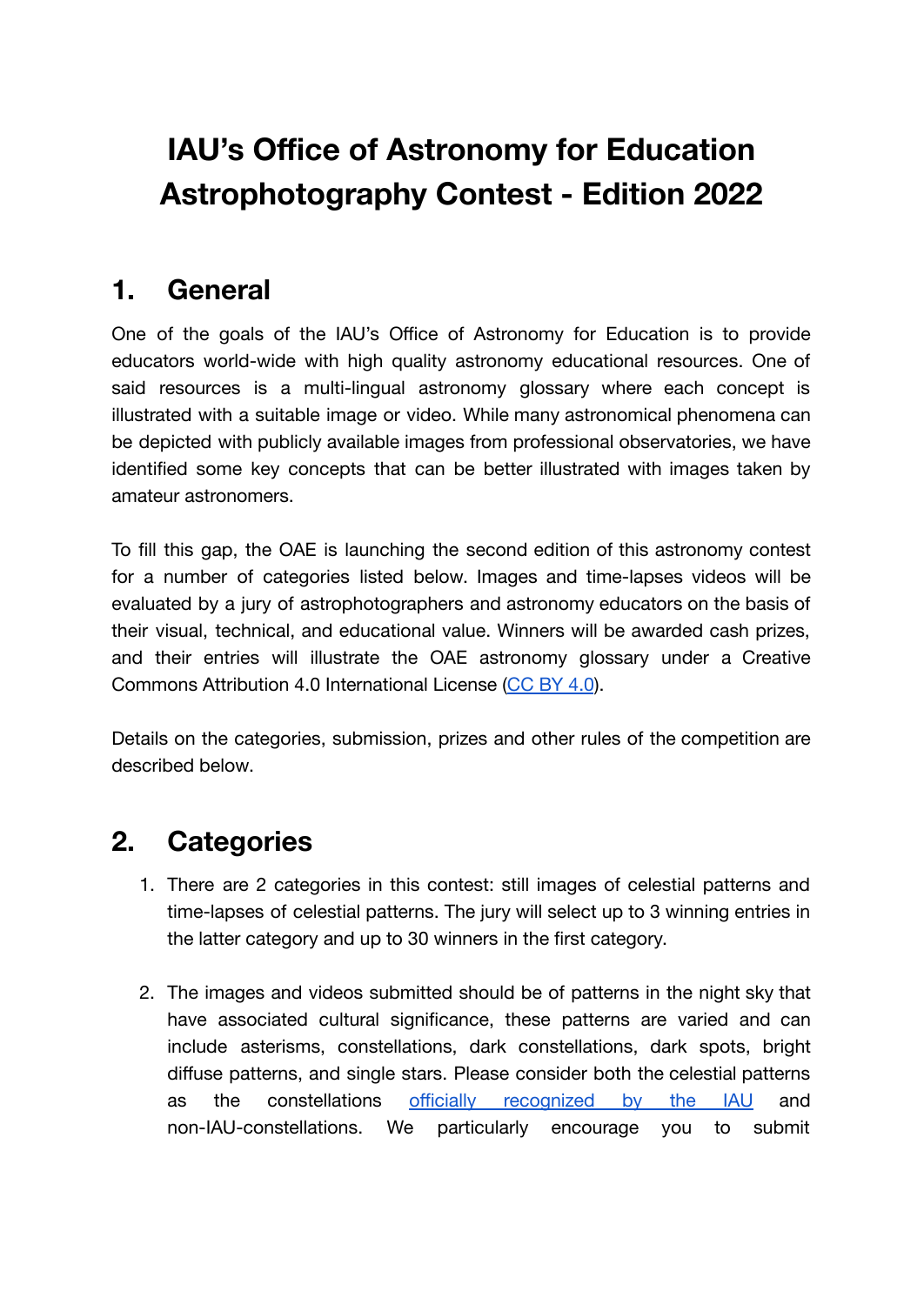# **IAU's Office of Astronomy for Education Astrophotography Contest - Edition 2022**

### **1. General**

One of the goals of the IAU's Office of Astronomy for Education is to provide educators world-wide with high quality astronomy educational resources. One of said resources is a multi-lingual astronomy glossary where each concept is illustrated with a suitable image or video. While many astronomical phenomena can be depicted with publicly available images from professional observatories, we have identified some key concepts that can be better illustrated with images taken by amateur astronomers.

To fill this gap, the OAE is launching the second edition of this astronomy contest for a number of categories listed below. Images and time-lapses videos will be evaluated by a jury of astrophotographers and astronomy educators on the basis of their visual, technical, and educational value. Winners will be awarded cash prizes, and their entries will illustrate the OAE astronomy glossary under a Creative Commons Attribution 4.0 International License (CC [BY 4.0](https://creativecommons.org/licenses/by/4.0/)).

Details on the categories, submission, prizes and other rules of the competition are described below.

# **2. Categories**

- 1. There are 2 categories in this contest: still images of celestial patterns and time-lapses of celestial patterns. The jury will select up to 3 winning entries in the latter category and up to 30 winners in the first category.
- 2. The images and videos submitted should be of patterns in the night sky that have associated cultural significance, these patterns are varied and can include asterisms, constellations, dark constellations, dark spots, bright diffuse patterns, and single stars. Please consider both the celestial patterns as the constellations officially [recognized](https://www.iau.org/public/themes/constellations/) by the IAU and non-IAU-constellations. We particularly encourage you to submit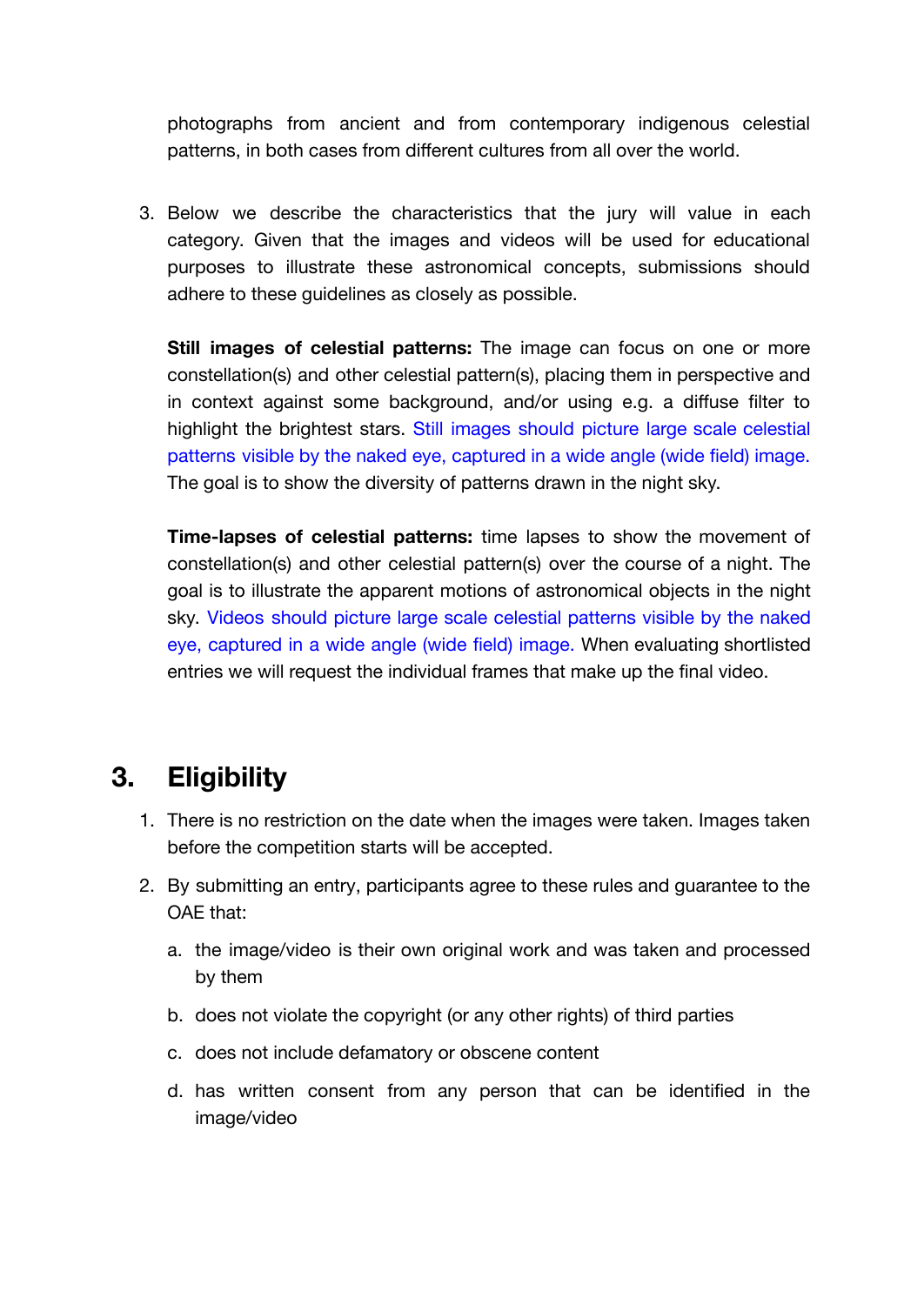photographs from ancient and from contemporary indigenous celestial patterns, in both cases from different cultures from all over the world.

3. Below we describe the characteristics that the jury will value in each category. Given that the images and videos will be used for educational purposes to illustrate these astronomical concepts, submissions should adhere to these guidelines as closely as possible.

**Still images of celestial patterns:** The image can focus on one or more constellation(s) and other celestial pattern(s), placing them in perspective and in context against some background, and/or using e.g. a diffuse filter to highlight the brightest stars. Still images should picture large scale celestial patterns visible by the naked eye, captured in a wide angle (wide field) image. The goal is to show the diversity of patterns drawn in the night sky.

**Time-lapses of celestial patterns:** time lapses to show the movement of constellation(s) and other celestial pattern(s) over the course of a night. The goal is to illustrate the apparent motions of astronomical objects in the night sky. Videos should picture large scale celestial patterns visible by the naked eye, captured in a wide angle (wide field) image. When evaluating shortlisted entries we will request the individual frames that make up the final video.

### **3. Eligibility**

- 1. There is no restriction on the date when the images were taken. Images taken before the competition starts will be accepted.
- 2. By submitting an entry, participants agree to these rules and guarantee to the OAE that:
	- a. the image/video is their own original work and was taken and processed by them
	- b. does not violate the copyright (or any other rights) of third parties
	- c. does not include defamatory or obscene content
	- d. has written consent from any person that can be identified in the image/video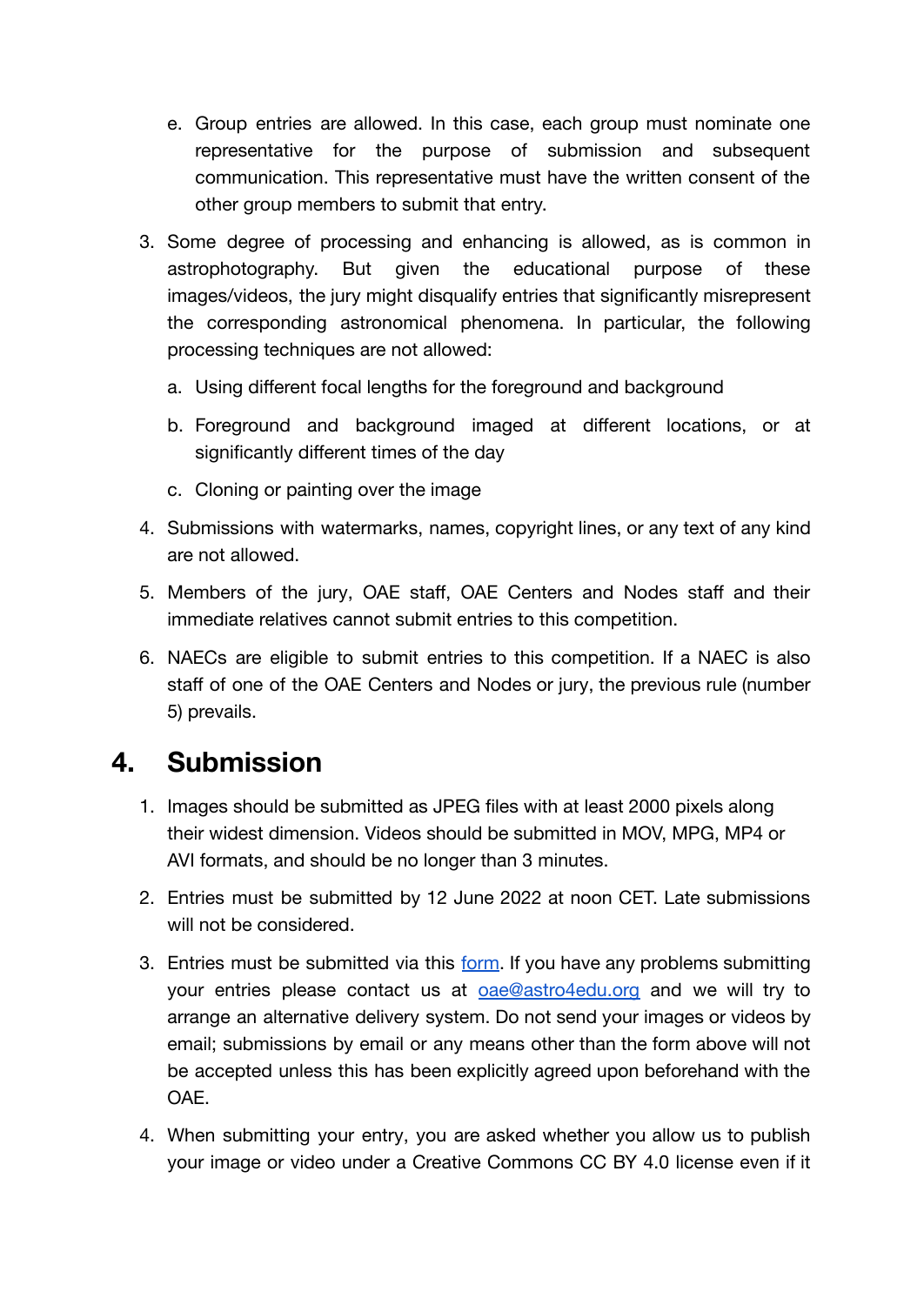- e. Group entries are allowed. In this case, each group must nominate one representative for the purpose of submission and subsequent communication. This representative must have the written consent of the other group members to submit that entry.
- 3. Some degree of processing and enhancing is allowed, as is common in astrophotography. But given the educational purpose of these images/videos, the jury might disqualify entries that significantly misrepresent the corresponding astronomical phenomena. In particular, the following processing techniques are not allowed:
	- a. Using different focal lengths for the foreground and background
	- b. Foreground and background imaged at different locations, or at significantly different times of the day
	- c. Cloning or painting over the image
- 4. Submissions with watermarks, names, copyright lines, or any text of any kind are not allowed.
- 5. Members of the jury, OAE staff, OAE Centers and Nodes staff and their immediate relatives cannot submit entries to this competition.
- 6. NAECs are eligible to submit entries to this competition. If a NAEC is also staff of one of the OAE Centers and Nodes or jury, the previous rule (number 5) prevails.

# **4. Submission**

- 1. Images should be submitted as JPEG files with at least 2000 pixels along their widest dimension. Videos should be submitted in MOV, MPG, MP4 or AVI formats, and should be no longer than 3 minutes.
- 2. Entries must be submitted by 12 June 2022 at noon CET. Late submissions will not be considered.
- 3. Entries must be submitted via this [form](https://www.astro4edu.org/contests/astrophotography-contest-2022). If you have any problems submitting your entries please contact us at **[oae@astro4edu.org](mailto:oae-astrophoto@astro4edu.org)** and we will try to arrange an alternative delivery system. Do not send your images or videos by email; submissions by email or any means other than the form above will not be accepted unless this has been explicitly agreed upon beforehand with the OAE.
- 4. When submitting your entry, you are asked whether you allow us to publish your image or video under a Creative Commons CC BY 4.0 license even if it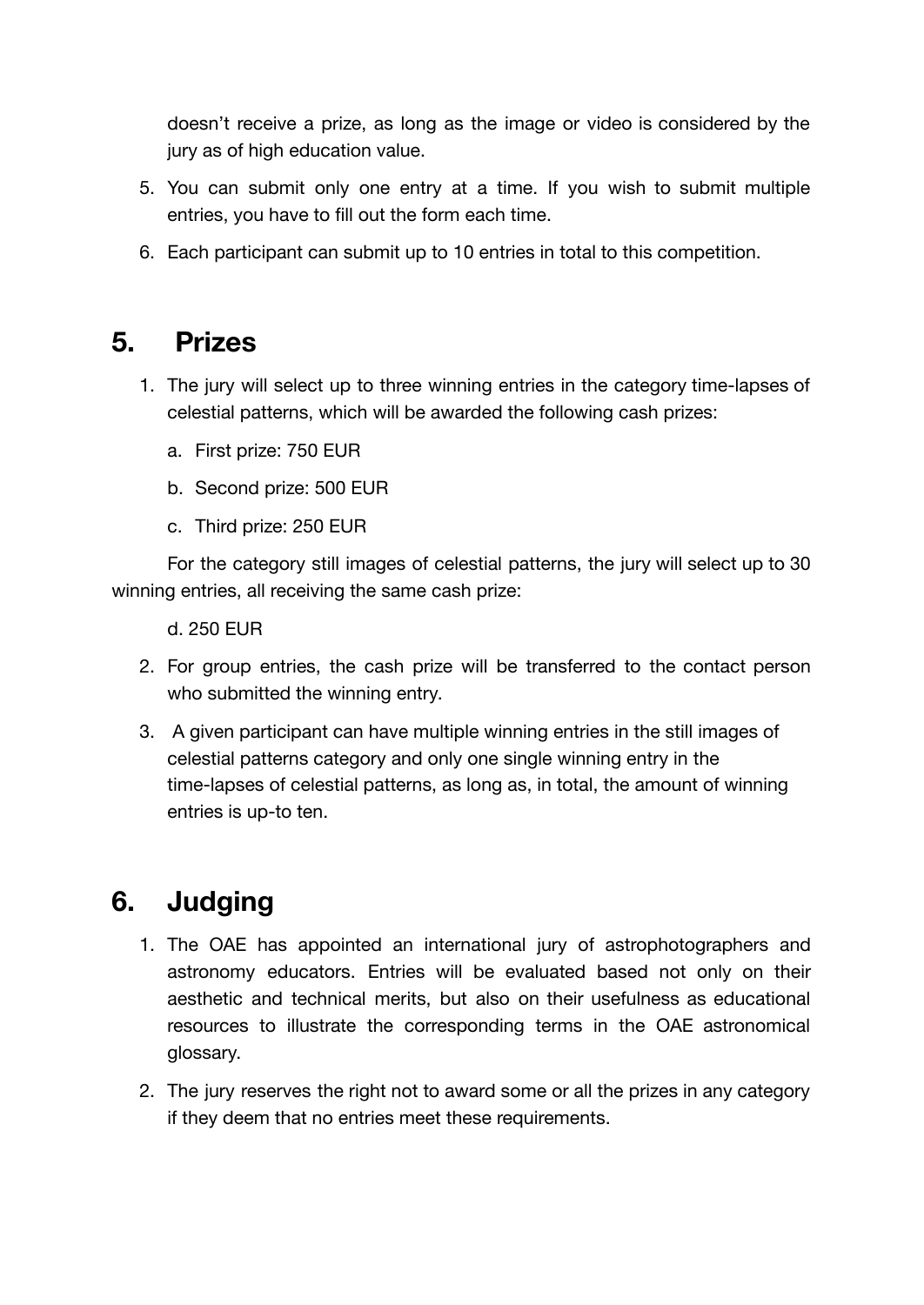doesn't receive a prize, as long as the image or video is considered by the jury as of high education value.

- 5. You can submit only one entry at a time. If you wish to submit multiple entries, you have to fill out the form each time.
- 6. Each participant can submit up to 10 entries in total to this competition.

#### **5. Prizes**

- 1. The jury will select up to three winning entries in the category time-lapses of celestial patterns, which will be awarded the following cash prizes:
	- a. First prize: 750 EUR
	- b. Second prize: 500 EUR
	- c. Third prize: 250 EUR

For the category still images of celestial patterns, the jury will select up to 30 winning entries, all receiving the same cash prize:

d. 250 EUR

- 2. For group entries, the cash prize will be transferred to the contact person who submitted the winning entry.
- 3. A given participant can have multiple winning entries in the still images of celestial patterns category and only one single winning entry in the time-lapses of celestial patterns, as long as, in total, the amount of winning entries is up-to ten.

# **6. Judging**

- 1. The OAE has appointed an international jury of astrophotographers and astronomy educators. Entries will be evaluated based not only on their aesthetic and technical merits, but also on their usefulness as educational resources to illustrate the corresponding terms in the OAE astronomical glossary.
- 2. The jury reserves the right not to award some or all the prizes in any category if they deem that no entries meet these requirements.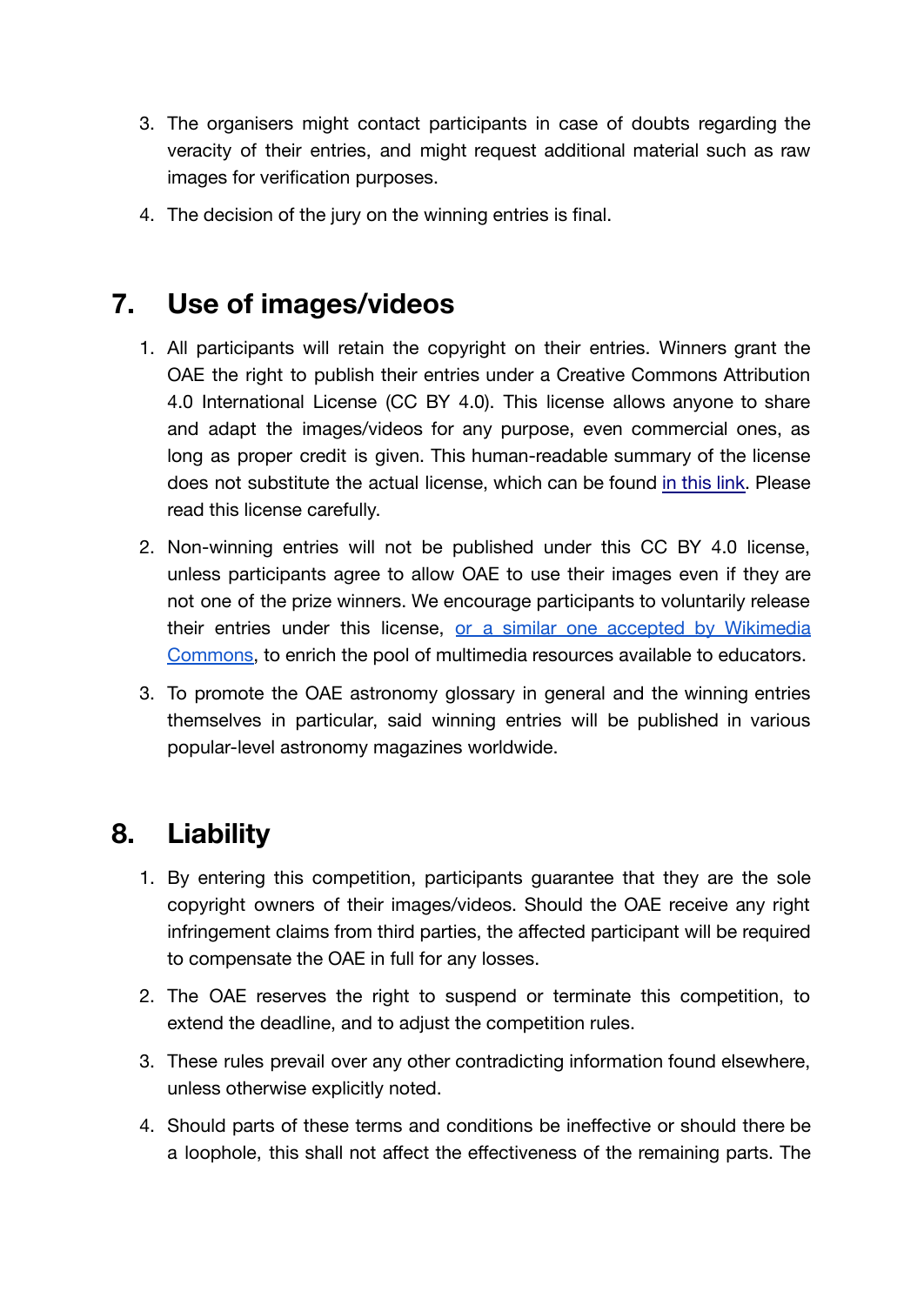- 3. The organisers might contact participants in case of doubts regarding the veracity of their entries, and might request additional material such as raw images for verification purposes.
- 4. The decision of the jury on the winning entries is final.

### **7. Use of images/videos**

- 1. All participants will retain the copyright on their entries. Winners grant the OAE the right to publish their entries under a Creative Commons Attribution 4.0 International License (CC BY 4.0). This license allows anyone to share and adapt the images/videos for any purpose, even commercial ones, as long as proper credit is given. This human-readable summary of the license does not substitute the actual license, which can be found in [this](https://creativecommons.org/licenses/by/4.0/) link. Please read this license carefully.
- 2. Non-winning entries will not be published under this CC BY 4.0 license, unless participants agree to allow OAE to use their images even if they are not one of the prize winners. We encourage participants to voluntarily release their entries under this license, or a similar one accepted by [Wikimedia](https://commons.wikimedia.org/wiki/Commons:Licensing#Well-known_licenses) [Commons,](https://commons.wikimedia.org/wiki/Commons:Licensing#Well-known_licenses) to enrich the pool of multimedia resources available to educators.
- 3. To promote the OAE astronomy glossary in general and the winning entries themselves in particular, said winning entries will be published in various popular-level astronomy magazines worldwide.

### **8. Liability**

- 1. By entering this competition, participants guarantee that they are the sole copyright owners of their images/videos. Should the OAE receive any right infringement claims from third parties, the affected participant will be required to compensate the OAE in full for any losses.
- 2. The OAE reserves the right to suspend or terminate this competition, to extend the deadline, and to adjust the competition rules.
- 3. These rules prevail over any other contradicting information found elsewhere, unless otherwise explicitly noted.
- 4. Should parts of these terms and conditions be ineffective or should there be a loophole, this shall not affect the effectiveness of the remaining parts. The